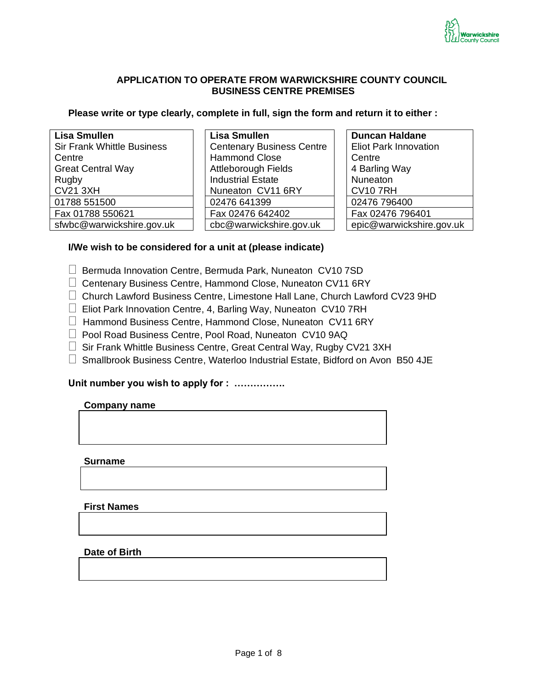

### **APPLICATION TO OPERATE FROM WARWICKSHIRE COUNTY COUNCIL BUSINESS CENTRE PREMISES**

**Please write or type clearly, complete in full, sign the form and return it to either :**

| Lisa Smullen                      |
|-----------------------------------|
| <b>Sir Frank Whittle Business</b> |
| Centre                            |
| <b>Great Central Way</b>          |
| Rugby                             |
| <b>CV21 3XH</b>                   |
| 01788 551500                      |
| Fax 01788 550621                  |
| sfwhc@warwickshire.gov.uk         |

**Lisa Smullen** Centenary Business Centre Hammond Close Attleborough Fields Industrial Estate Nuneaton CV11 6RY 02476 641399  $\vert$  02476 796400 Fax 02476 642402 | | Fax 02476 796401 cbc@warwickshire.gov.uk epic@warwickshire.gov.uk

**Duncan Haldane** Eliot Park Innovation **Centre** 4 Barling Way Nuneaton CV10 7RH

### **I/We wish to be considered for a unit at (please indicate)**

- $\Box$  Bermuda Innovation Centre, Bermuda Park, Nuneaton CV10 7SD
- $\Box$  Centenary Business Centre, Hammond Close, Nuneaton CV11 6RY
- □ Church Lawford Business Centre, Limestone Hall Lane, Church Lawford CV23 9HD
- $\Box$  Eliot Park Innovation Centre, 4, Barling Way, Nuneaton CV10 7RH
- $\Box$  Hammond Business Centre, Hammond Close, Nuneaton CV11 6RY
- □ Pool Road Business Centre, Pool Road, Nuneaton CV10 9AQ
- $\Box$  Sir Frank Whittle Business Centre, Great Central Way, Rugby CV21 3XH
- $\Box$  Smallbrook Business Centre, Waterloo Industrial Estate, Bidford on Avon B50 4JE

### **Unit number you wish to apply for : …………….**

#### **Company name**

#### **Surname**

#### **First Names**

#### **Date of Birth**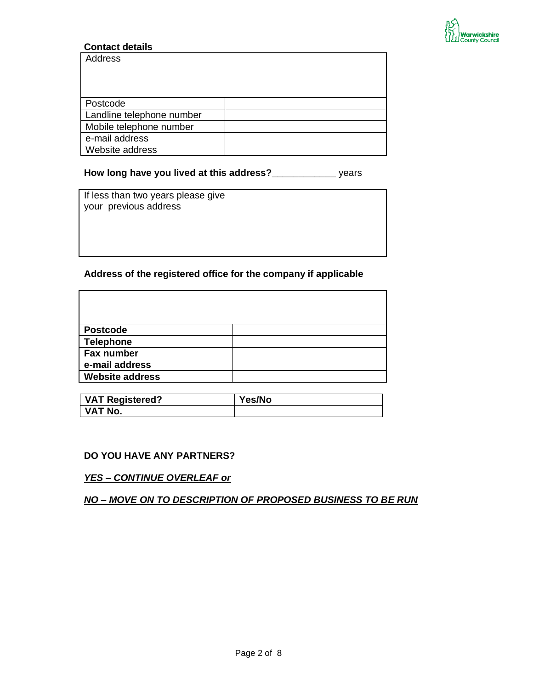

#### **Contact details**

| Address                   |  |
|---------------------------|--|
|                           |  |
|                           |  |
| Postcode                  |  |
| Landline telephone number |  |
| Mobile telephone number   |  |
| e-mail address            |  |
| Website address           |  |

**How long have you lived at this address?\_\_\_\_\_\_\_\_\_\_\_\_** years

## **Address of the registered office for the company if applicable**

| <b>Postcode</b>        |  |
|------------------------|--|
| Telephone              |  |
| Fax number             |  |
| e-mail address         |  |
| <b>Website address</b> |  |

| <b>VAT Registered?</b> | <b>Yes/No</b> |
|------------------------|---------------|
| VAT No.                |               |

### **DO YOU HAVE ANY PARTNERS?**

### *YES – CONTINUE OVERLEAF or*

## *NO – MOVE ON TO DESCRIPTION OF PROPOSED BUSINESS TO BE RUN*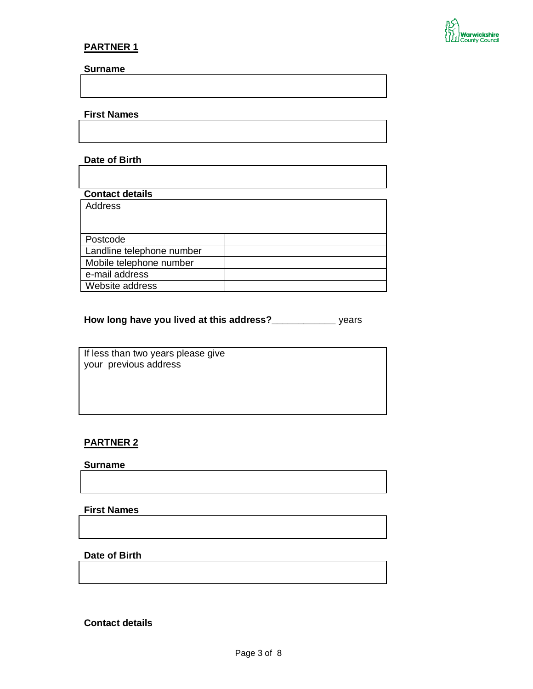

## **PARTNER 1**

#### **Surname**

**First Names** 

#### **Date of Birth**

# **Contact details**

| Address                   |  |
|---------------------------|--|
|                           |  |
| Postcode                  |  |
| Landline telephone number |  |
| Mobile telephone number   |  |
| e-mail address            |  |
| Website address           |  |

**How long have you lived at this address?\_\_\_\_\_\_\_\_\_\_\_\_** years

| If less than two years please give |
|------------------------------------|
| your previous address              |

# **PARTNER 2**

**Surname** 

**First Names** 

### **Date of Birth**

**Contact details**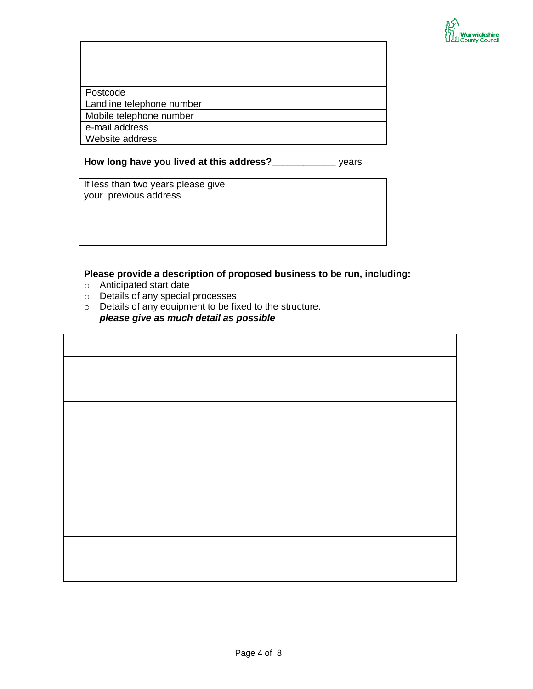

| Postcode                  |  |
|---------------------------|--|
| Landline telephone number |  |
| Mobile telephone number   |  |
| e-mail address            |  |
| Website address           |  |

#### **How long have you lived at this address?\_\_\_\_\_\_\_\_\_\_\_\_** years

If less than two years please give your previous address

## **Please provide a description of proposed business to be run, including:**

- o Anticipated start date
- o Details of any special processes
- o Details of any equipment to be fixed to the structure. *please give as much detail as possible*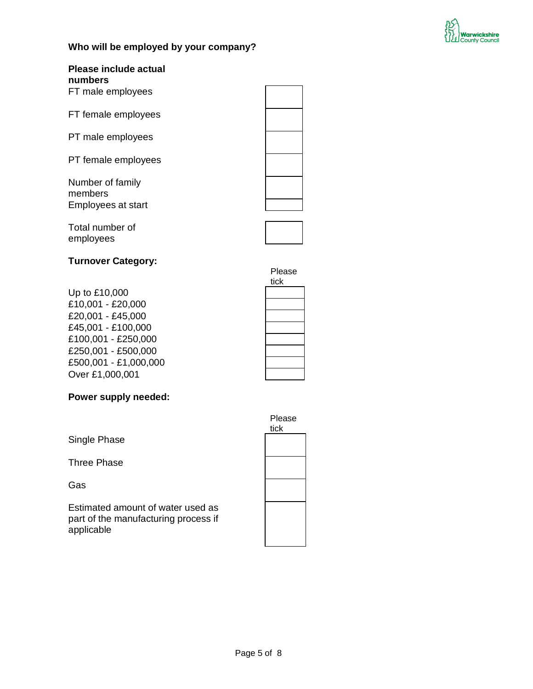

# **Who will be employed by your company?**

| Please include actual<br>numbers |  |
|----------------------------------|--|
| FT male employees                |  |
| FT female employees              |  |
| PT male employees                |  |
| PT female employees              |  |
| Number of family<br>members      |  |
| Employees at start               |  |
| Total number of<br>employees     |  |

# **Turnover Category:**

| Up to £10,000         |
|-----------------------|
|                       |
| £10,001 - £20,000     |
| £20,001 - £45,000     |
| £45,001 - £100,000    |
| £100,001 - £250,000   |
| £250,001 - £500,000   |
| £500,001 - £1,000,000 |
| Over £1,000,001       |
|                       |

# **Power supply needed:**

Single Phase

Three Phase

Gas

Estimated amount of water used as part of the manufacturing process if applicable



Please tick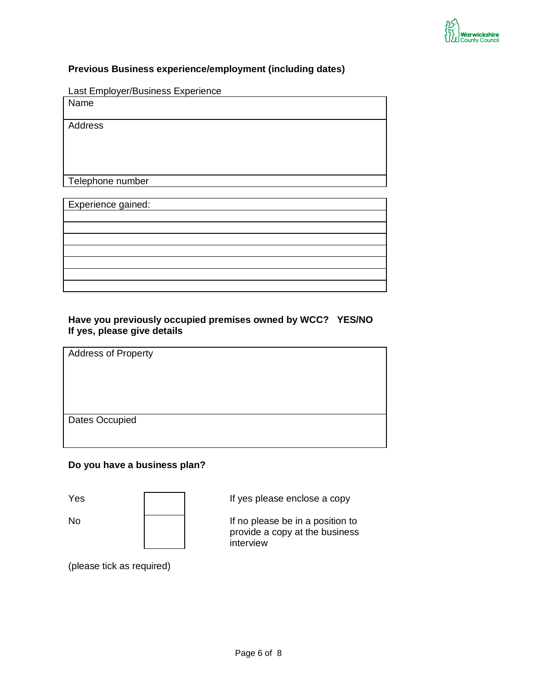

# **Previous Business experience/employment (including dates)**

Last Employer/Business Experience

Name

**Address** 

Telephone number

Experience gained:

**Have you previously occupied premises owned by WCC? YES/NO If yes, please give details**

Address of Property Dates Occupied

### **Do you have a business plan?**

Yes If yes please enclose a copy

No If no please be in a position to provide a copy at the business interview

(please tick as required)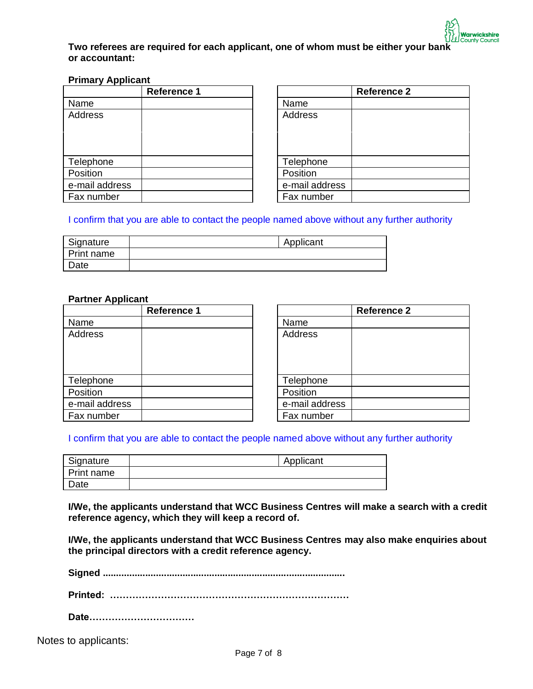

#### **Two referees are required for each applicant, one of whom must be either your bank or accountant:**

#### **Primary Applicant**

|                | <b>Reference 1</b> |                |
|----------------|--------------------|----------------|
| Name           |                    | Name           |
| Address        |                    | Address        |
| Telephone      |                    | Telephone      |
| Position       |                    | Position       |
| e-mail address |                    | e-mail address |
| Fax number     |                    | Fax number     |

| Reference 1 |                | <b>Reference 2</b> |
|-------------|----------------|--------------------|
|             | Name           |                    |
|             | <b>Address</b> |                    |
|             |                |                    |
|             | Telephone      |                    |
|             | Position       |                    |
|             | e-mail address |                    |
|             | Fax number     |                    |

### I confirm that you are able to contact the people named above without any further authority

| Signature  | Applicant |
|------------|-----------|
| Print name |           |
| Date       |           |

#### **Partner Applicant**

|                | <b>Reference 1</b> |                |
|----------------|--------------------|----------------|
| Name           |                    | Name           |
| <b>Address</b> |                    | Address        |
| Telephone      |                    | Telephone      |
| Position       |                    | Position       |
| e-mail address |                    | e-mail address |
| Fax number     |                    | Fax number     |

| Reference 1 |                | <b>Reference 2</b> |
|-------------|----------------|--------------------|
|             | Name           |                    |
|             | Address        |                    |
|             |                |                    |
|             |                |                    |
|             |                |                    |
|             | Telephone      |                    |
|             | Position       |                    |
|             | e-mail address |                    |
|             | Fax number     |                    |

#### I confirm that you are able to contact the people named above without any further authority

| Signature  | Applicant |
|------------|-----------|
| Print name |           |
| Date       |           |

**I/We, the applicants understand that WCC Business Centres will make a search with a credit reference agency, which they will keep a record of.** 

**I/We, the applicants understand that WCC Business Centres may also make enquiries about the principal directors with a credit reference agency.**

**Signed ...........................................................................................**

**Printed: …………………………………………………………………**

**Date……………………………**

Notes to applicants: